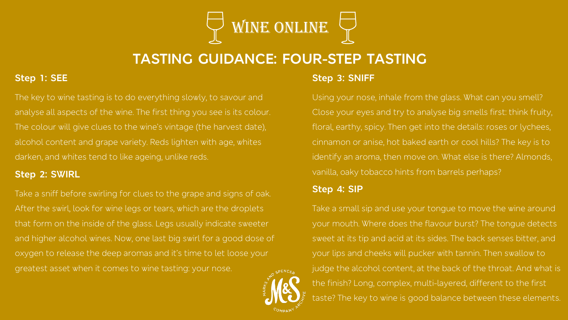

# **TASTING GUIDANCE: FOUR-STEP TASTING**

# **Step 1: SEE**

The key to wine tasting is to do everything slowly, to savour and analyse all aspects of the wine. The first thing you see is its colour. The colour will give clues to the wine's vintage (the harvest date), alcohol content and grape variety. Reds lighten with age, whites darken, and whites tend to like ageing, unlike reds.

## **Step 2: SWIRL**

Take a sniff before swirling for clues to the grape and signs of oak. After the swirl, look for wine legs or tears, which are the droplets that form on the inside of the glass. Legs usually indicate sweeter and higher alcohol wines. Now, one last big swirl for a good dose of oxygen to release the deep aromas and it's time to let loose your greatest asset when it comes to wine tasting: your nose.

## **Step 3: SNIFF**

Using your nose, inhale from the glass. What can you smell? Close your eyes and try to analyse big smells first: think fruity, floral, earthy, spicy. Then get into the details: roses or lychees, cinnamon or anise, hot baked earth or cool hills? The key is to identify an aroma, then move on. What else is there? Almonds, vanilla, oaky tobacco hints from barrels perhaps?

#### **Step 4: SIP**

Take a small sip and use your tongue to move the wine around your mouth. Where does the flavour burst? The tongue detects sweet at its tip and acid at its sides. The back senses bitter, and your lips and cheeks will pucker with tannin. Then swallow to judge the alcohol content, at the back of the throat. And what is the finish? Long, complex, multi-layered, different to the first taste? The key to wine is good balance between these elements.